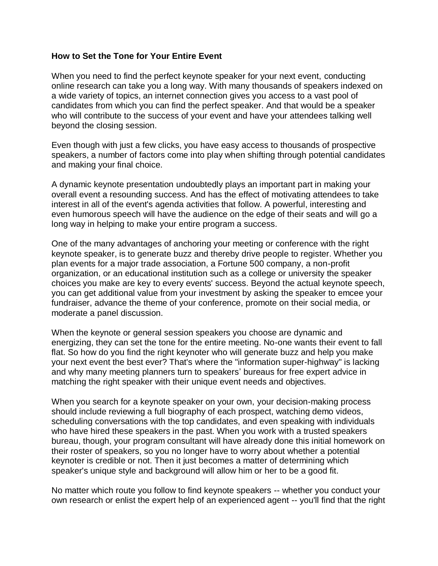## **How to Set the Tone for Your Entire Event**

When you need to find the perfect keynote speaker for your next event, conducting online research can take you a long way. With many thousands of speakers indexed on a wide variety of topics, an internet connection gives you access to a vast pool of candidates from which you can find the perfect speaker. And that would be a speaker who will contribute to the success of your event and have your attendees talking well beyond the closing session.

Even though with just a few clicks, you have easy access to thousands of prospective speakers, a number of factors come into play when shifting through potential candidates and making your final choice.

A dynamic keynote presentation undoubtedly plays an important part in making your overall event a resounding success. And has the effect of motivating attendees to take interest in all of the event's agenda activities that follow. A powerful, interesting and even humorous speech will have the audience on the edge of their seats and will go a long way in helping to make your entire program a success.

One of the many advantages of anchoring your meeting or conference with the right keynote speaker, is to generate buzz and thereby drive people to register. Whether you plan events for a major trade association, a Fortune 500 company, a non-profit organization, or an educational institution such as a college or university the speaker choices you make are key to every events' success. Beyond the actual keynote speech, you can get additional value from your investment by asking the speaker to emcee your fundraiser, advance the theme of your conference, promote on their social media, or moderate a panel discussion.

When the keynote or general session speakers you choose are dynamic and energizing, they can set the tone for the entire meeting. No-one wants their event to fall flat. So how do you find the right keynoter who will generate buzz and help you make your next event the best ever? That's where the "information super-highway" is lacking and why many meeting planners turn to speakers' bureaus for free expert advice in matching the right speaker with their unique event needs and objectives.

When you search for a keynote speaker on your own, your decision-making process should include reviewing a full biography of each prospect, watching demo videos, scheduling conversations with the top candidates, and even speaking with individuals who have hired these speakers in the past. When you work with a trusted speakers bureau, though, your program consultant will have already done this initial homework on their roster of speakers, so you no longer have to worry about whether a potential keynoter is credible or not. Then it just becomes a matter of determining which speaker's unique style and background will allow him or her to be a good fit.

No matter which route you follow to find keynote speakers -- whether you conduct your own research or enlist the expert help of an experienced agent -- you'll find that the right